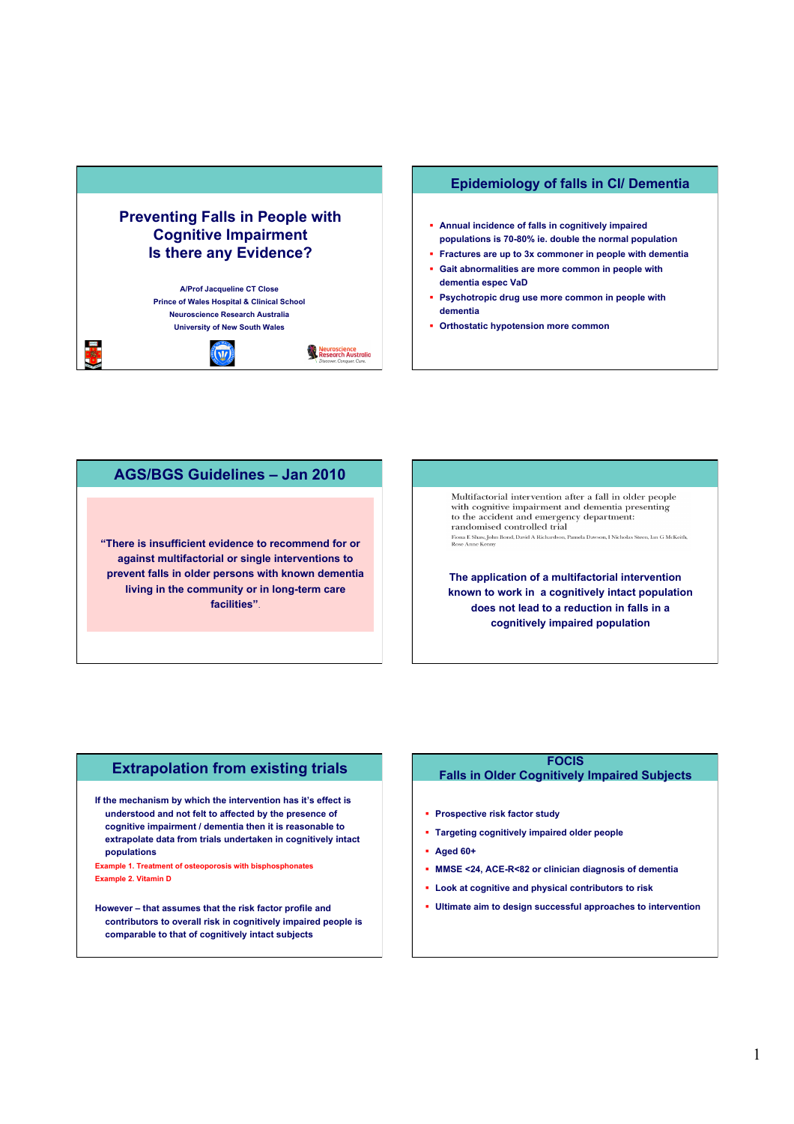## **Preventing Falls in People with Cognitive Impairment Is there any Evidence?**

**A/Prof Jacqueline CT Close Prince of Wales Hospital & Clinical School Neuroscience Research Australia University of New South Wales** 



estis<br>19

### **Epidemiology of falls in CI/ Dementia**

- **Annual incidence of falls in cognitively impaired populations is 70-80% ie. double the normal population**
- **Fractures are up to 3x commoner in people with dementia Gait abnormalities are more common in people with**
- **dementia espec VaD**
- **Psychotropic drug use more common in people with dementia**
- **Orthostatic hypotension more common**

## **AGS/BGS Guidelines – Jan 2010**

**"There is insufficient evidence to recommend for or against multifactorial or single interventions to prevent falls in older persons with known dementia living in the community or in long-term care facilities"**.

Multifactorial intervention after a fall in older people with cognitive impairment and dementia presenting to the accident and emergency department: randomised controlled trial  ${\bf randomised\ controlled\ trial}$  Fiona E Shaw, John Bond, David A Richardson, Pamela Dawson, I Nicholas Steen, Ian G McKeith, Rose Anne Kenny

**The application of a multifactorial intervention known to work in a cognitively intact population does not lead to a reduction in falls in a cognitively impaired population** 

### **Extrapolation from existing trials**

**If the mechanism by which the intervention has it's effect is understood and not felt to affected by the presence of cognitive impairment / dementia then it is reasonable to extrapolate data from trials undertaken in cognitively intact populations** 

**Example 1. Treatment of osteoporosis with bisphosphonates Example 2. Vitamin D** 

**However – that assumes that the risk factor profile and contributors to overall risk in cognitively impaired people is comparable to that of cognitively intact subjects** 

#### **FOCIS**

#### **Falls in Older Cognitively Impaired Subjects**

- **Prospective risk factor study**
- **Targeting cognitively impaired older people**
- **Aged 60+**
- **MMSE <24, ACE-R<82 or clinician diagnosis of dementia**
- **Look at cognitive and physical contributors to risk**
- **Ultimate aim to design successful approaches to intervention**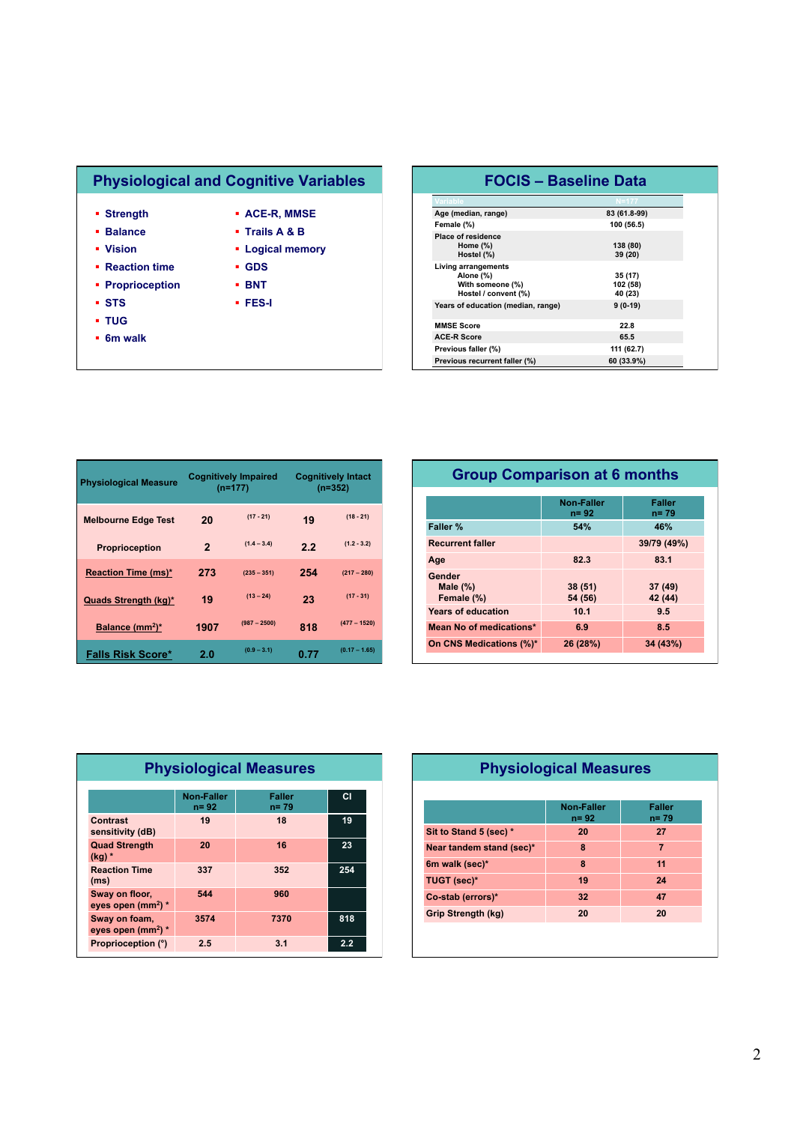# **Physiological and Cognitive Variables**

- **Strength**
- **Balance Vision**

**Reaction time Proprioception** 

- **ACE-R, MMSE Trails A & B**
- - **Logical memory**
	- **GDS BNT**
	- **FES-I**
- **STS**
- **TUG**
- **6m walk**

| <b>FOCIS - Baseline Data</b>                                                 |                                |  |
|------------------------------------------------------------------------------|--------------------------------|--|
| /ariable                                                                     |                                |  |
| Age (median, range)                                                          | 83 (61.8-99)                   |  |
| Female (%)                                                                   | 100 (56.5)                     |  |
| <b>Place of residence</b><br>Home $(\%)$<br>Hostel (%)                       | 138 (80)<br>39 (20)            |  |
| Living arrangements<br>Alone (%)<br>With someone (%)<br>Hostel / convent (%) | 35 (17)<br>102 (58)<br>40 (23) |  |
| Years of education (median, range)                                           | $9(0-19)$                      |  |
| <b>MMSE Score</b>                                                            | 22.8                           |  |
| <b>ACE-R Score</b>                                                           | 65.5                           |  |
| Previous faller (%)                                                          | 111 (62.7)                     |  |
| Previous recurrent faller (%)                                                | 60 (33.9%)                     |  |

| <b>Physiological Measure</b> | <b>Cognitively Impaired</b><br>$(n=177)$ |                | <b>Cognitively Intact</b><br>$(n=352)$ |                 |
|------------------------------|------------------------------------------|----------------|----------------------------------------|-----------------|
| <b>Melbourne Edge Test</b>   | 20                                       | $(17 - 21)$    | 19                                     | $(18 - 21)$     |
| <b>Proprioception</b>        | $\mathbf{2}$                             | $(1.4 - 3.4)$  | 2.2                                    | $(1.2 - 3.2)$   |
| Reaction Time (ms)*          | 273                                      | $(235 - 351)$  | 254                                    | $(217 - 280)$   |
| Quads Strength (kg)*         | 19                                       | $(13 - 24)$    | 23                                     | $(17 - 31)$     |
| Balance (mm <sup>2</sup> )*  | 1907                                     | $(987 - 2500)$ | 818                                    | $(477 - 1520)$  |
| <b>Falls Risk Score*</b>     | 2.0                                      | $(0.9 - 3.1)$  | 0.77                                   | $(0.17 - 1.65)$ |

## **Group Comparison at 6 months**

|                                     | Non-Faller<br>$n = 92$ | <b>Faller</b><br>$n = 79$ |
|-------------------------------------|------------------------|---------------------------|
| Faller %                            | 54%                    | 46%                       |
| <b>Recurrent faller</b>             |                        | 39/79 (49%)               |
| Age                                 | 82.3                   | 83.1                      |
| Gender<br>Male $(\%)$<br>Female (%) | 38(51)<br>54 (56)      | 37(49)<br>42 (44)         |
| <b>Years of education</b>           | 10.1                   | 9.5                       |
| Mean No of medications*             | 6.9                    | 8.5                       |
| On CNS Medications (%)*             | 26 (28%)               | 34 (43%)                  |

| <b>Physiological Measures</b>           |                        |                           |     |  |
|-----------------------------------------|------------------------|---------------------------|-----|--|
|                                         | Non-Faller<br>$n = 92$ | <b>Faller</b><br>$n = 79$ | СI  |  |
| Contrast<br>sensitivity (dB)            | 19                     | 18                        | 19  |  |
| <b>Quad Strength</b><br>$(kq)$ *        | 20                     | 16                        | 23  |  |
| <b>Reaction Time</b><br>(ms)            | 337                    | 352                       | 254 |  |
| Sway on floor,<br>eyes open ( $mm2$ ) * | 544                    | 960                       |     |  |
| Sway on foam,<br>eyes open ( $mm2$ ) *  | 3574                   | 7370                      | 818 |  |
| Proprioception (°)                      | 2.5                    | 3.1                       | 2.2 |  |

## **Physiological Measures**

|                          | Non-Faller<br>$n = 92$ | <b>Faller</b><br>$n = 79$ |
|--------------------------|------------------------|---------------------------|
| Sit to Stand 5 (sec) *   | 20                     | 27                        |
| Near tandem stand (sec)* | 8                      | 7                         |
| 6m walk (sec)*           | 8                      | 11                        |
| TUGT (sec)*              | 19                     | 24                        |
| Co-stab (errors)*        | 32                     | 47                        |
| Grip Strength (kg)       | 20                     | 20                        |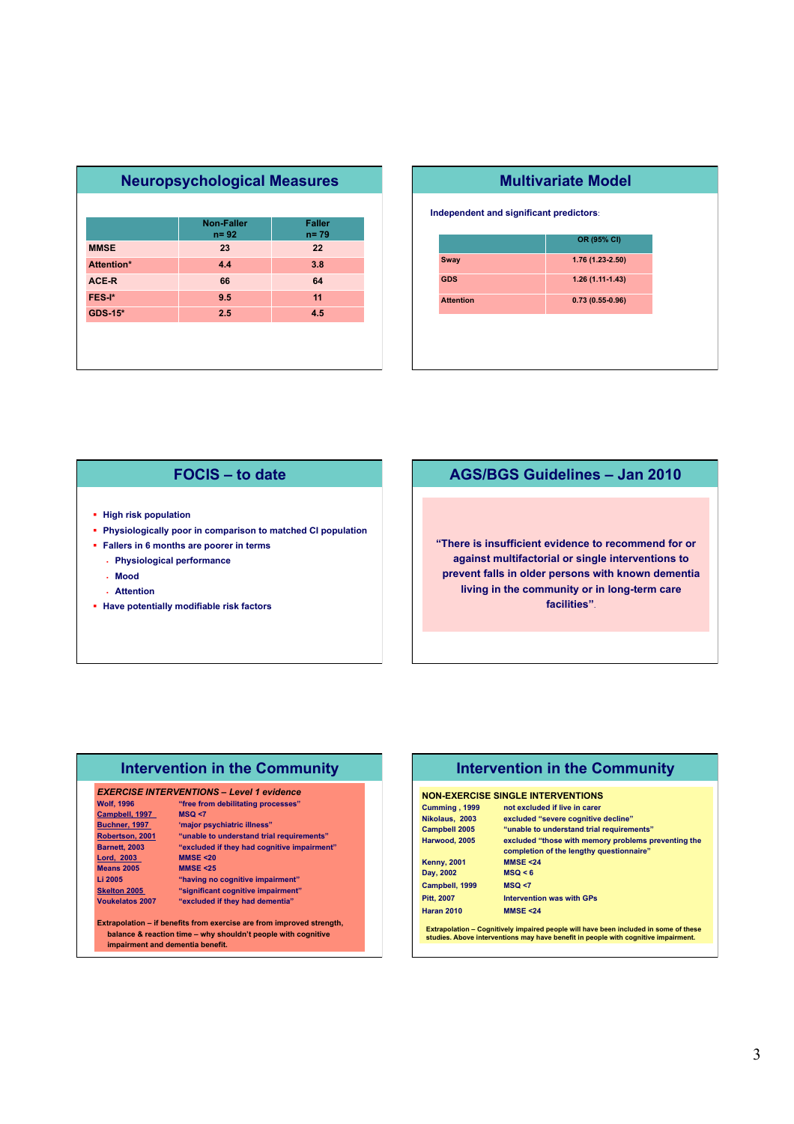|                   | <b>Neuropsychological Measures</b> |                           |  |
|-------------------|------------------------------------|---------------------------|--|
|                   |                                    |                           |  |
|                   | Non-Faller<br>$n = 92$             | <b>Faller</b><br>$n = 79$ |  |
| <b>MMSE</b>       | 23                                 | 22                        |  |
| <b>Attention*</b> | 4.4                                | 3.8                       |  |
| ACE-R             | 66                                 | 64                        |  |
| FES-I*            | 9.5                                | 11                        |  |
| <b>GDS-15*</b>    | 2.5                                | 4.5                       |  |
|                   |                                    |                           |  |
|                   |                                    |                           |  |
|                   |                                    |                           |  |

| <b>Multivariate Model</b>               |                   |  |  |
|-----------------------------------------|-------------------|--|--|
| Independent and significant predictors: |                   |  |  |
|                                         | OR (95% CI)       |  |  |
| <b>Sway</b>                             | 1.76 (1.23-2.50)  |  |  |
| <b>GDS</b>                              | $1.26(1.11-1.43)$ |  |  |
| <b>Attention</b>                        | $0.73(0.55-0.96)$ |  |  |
|                                         |                   |  |  |
|                                         |                   |  |  |
|                                         |                   |  |  |

## **FOCIS – to date**

- **High risk population**
- **Physiologically poor in comparison to matched CI population**
- **Fallers in 6 months are poorer in terms** 
	- **Physiological performance**
	- **Mood**
	- **Attention**
- **Have potentially modifiable risk factors**

## **AGS/BGS Guidelines – Jan 2010**

**"There is insufficient evidence to recommend for or against multifactorial or single interventions to prevent falls in older persons with known dementia living in the community or in long-term care facilities"**.

## **Intervention in the Community**

#### *EXERCISE INTERVENTIONS – Level 1 evidence*

| <b>Wolf, 1996</b> |
|-------------------|
| Campbell, 1997    |

**Means 2005** 

- "free from debilitating processes"<br>MSQ <7 **Buchner, 1997** 'major psychiatric illness"
- **Robertson, 2001 "unable to understand trial requirements" Barnetter is they had cognitive impairment"**<br>MMSE <20 **Lord, 2003** MMSE <20<br>Means 2005 MMSE <25
- **Li 2005 "having no cognitive impairment" Skelton 2005** "significant cognitive impairment"

**Voukelatos 2007 "excluded if they had dementia"** 

**Extrapolation – if benefits from exercise are from improved strength, balance & reaction time – why shouldn't people with cognitive impairment and dementia benefit.** 

## **Intervention in the Community**

#### **NON-EXERCISE SINGLE INTERVENTIONS**

| Cumming, 1999        | not excluded if live in carer                                                                                                                                              |
|----------------------|----------------------------------------------------------------------------------------------------------------------------------------------------------------------------|
| Nikolaus, 2003       | excluded "severe cognitive decline"                                                                                                                                        |
| <b>Campbell 2005</b> | "unable to understand trial requirements"                                                                                                                                  |
| Harwood, 2005        | excluded "those with memory problems preventing the<br>completion of the lengthy questionnaire"                                                                            |
| <b>Kenny, 2001</b>   | <b>MMSE &lt;24</b>                                                                                                                                                         |
| Day, 2002            | MSQ < 6                                                                                                                                                                    |
| Campbell, 1999       | MSQ < 7                                                                                                                                                                    |
| Pitt, 2007           | <b>Intervention was with GPs</b>                                                                                                                                           |
| <b>Haran 2010</b>    | <b>MMSE &lt;24</b>                                                                                                                                                         |
|                      | Extrapolation – Cognitively impaired people will have been included in some of these<br>studies. Above interventions may have benefit in people with cognitive impairment. |